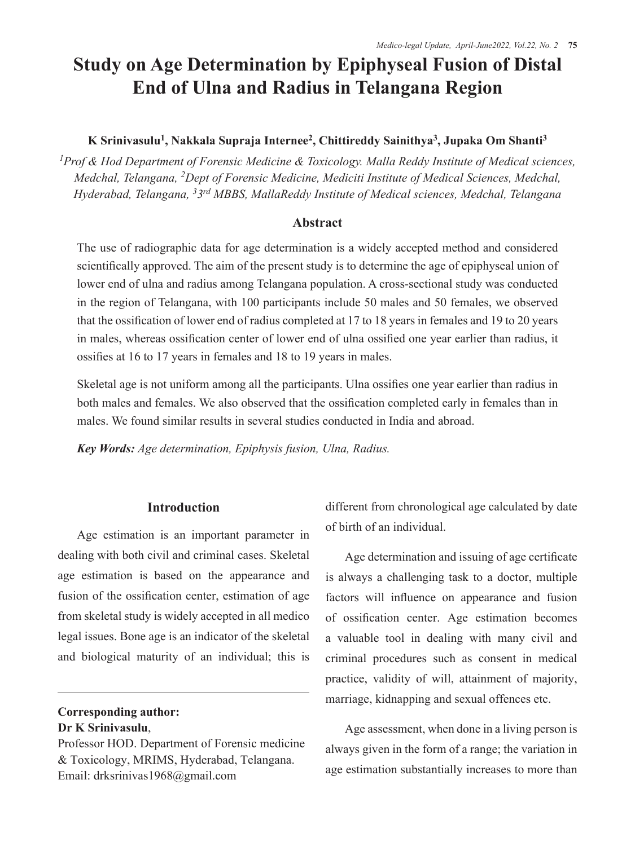# **Study on Age Determination by Epiphyseal Fusion of Distal End of Ulna and Radius in Telangana Region**

## **K Srinivasulu1 , Nakkala Supraja Internee<sup>2</sup> , Chittireddy Sainithya<sup>3</sup> , Jupaka Om Shanti<sup>3</sup>**

*1Prof & Hod Department of Forensic Medicine & Toxicology. Malla Reddy Institute of Medical sciences, Medchal, Telangana, 2 Dept of Forensic Medicine, Mediciti Institute of Medical Sciences, Medchal, Hyderabad, Telangana, 33rd MBBS, MallaReddy Institute of Medical sciences, Medchal, Telangana*

#### **Abstract**

The use of radiographic data for age determination is a widely accepted method and considered scientifically approved. The aim of the present study is to determine the age of epiphyseal union of lower end of ulna and radius among Telangana population. A cross-sectional study was conducted in the region of Telangana, with 100 participants include 50 males and 50 females, we observed that the ossification of lower end of radius completed at 17 to 18 years in females and 19 to 20 years in males, whereas ossification center of lower end of ulna ossified one year earlier than radius, it ossifies at 16 to 17 years in females and 18 to 19 years in males.

Skeletal age is not uniform among all the participants. Ulna ossifies one year earlier than radius in both males and females. We also observed that the ossification completed early in females than in males. We found similar results in several studies conducted in India and abroad.

*Key Words: Age determination, Epiphysis fusion, Ulna, Radius.* 

### **Introduction**

Age estimation is an important parameter in dealing with both civil and criminal cases. Skeletal age estimation is based on the appearance and fusion of the ossification center, estimation of age from skeletal study is widely accepted in all medico legal issues. Bone age is an indicator of the skeletal and biological maturity of an individual; this is

**Corresponding author: Dr K Srinivasulu**,

Professor HOD. Department of Forensic medicine & Toxicology, MRIMS, Hyderabad, Telangana. Email: drksrinivas1968@gmail.com

different from chronological age calculated by date of birth of an individual.

Age determination and issuing of age certificate is always a challenging task to a doctor, multiple factors will influence on appearance and fusion of ossification center. Age estimation becomes a valuable tool in dealing with many civil and criminal procedures such as consent in medical practice, validity of will, attainment of majority, marriage, kidnapping and sexual offences etc.

Age assessment, when done in a living person is always given in the form of a range; the variation in age estimation substantially increases to more than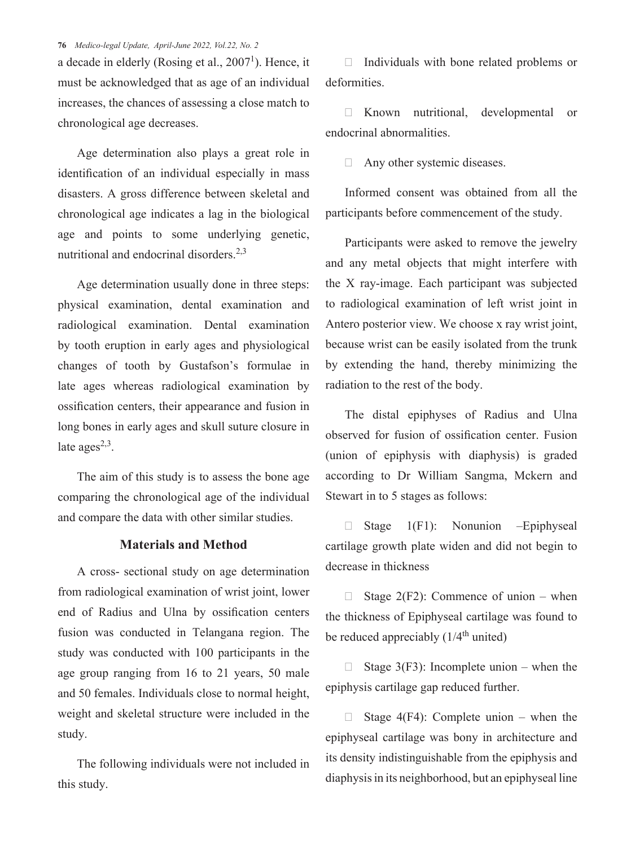#### **76** *Medico-legal Update, April-June 2022, Vol.22, No. 2*

a decade in elderly (Rosing et al., 2007<sup>1</sup>). Hence, it must be acknowledged that as age of an individual increases, the chances of assessing a close match to chronological age decreases.

Age determination also plays a great role in identification of an individual especially in mass disasters. A gross difference between skeletal and chronological age indicates a lag in the biological age and points to some underlying genetic, nutritional and endocrinal disorders.2,3

Age determination usually done in three steps: physical examination, dental examination and radiological examination. Dental examination by tooth eruption in early ages and physiological changes of tooth by Gustafson's formulae in late ages whereas radiological examination by ossification centers, their appearance and fusion in long bones in early ages and skull suture closure in late ages $^{2,3}$ .

The aim of this study is to assess the bone age comparing the chronological age of the individual and compare the data with other similar studies.

#### **Materials and Method**

A cross- sectional study on age determination from radiological examination of wrist joint, lower end of Radius and Ulna by ossification centers fusion was conducted in Telangana region. The study was conducted with 100 participants in the age group ranging from 16 to 21 years, 50 male and 50 females. Individuals close to normal height, weight and skeletal structure were included in the study.

The following individuals were not included in this study.

 $\Box$  Individuals with bone related problems or deformities.

· Known nutritional, developmental or endocrinal abnormalities.

 $\Box$  Any other systemic diseases.

Informed consent was obtained from all the participants before commencement of the study.

Participants were asked to remove the jewelry and any metal objects that might interfere with the X ray-image. Each participant was subjected to radiological examination of left wrist joint in Antero posterior view. We choose x ray wrist joint, because wrist can be easily isolated from the trunk by extending the hand, thereby minimizing the radiation to the rest of the body.

The distal epiphyses of Radius and Ulna observed for fusion of ossification center. Fusion (union of epiphysis with diaphysis) is graded according to Dr William Sangma, Mckern and Stewart in to 5 stages as follows:

 $\Box$  Stage 1(F1): Nonunion –Epiphyseal cartilage growth plate widen and did not begin to decrease in thickness

Stage  $2(F2)$ : Commence of union – when the thickness of Epiphyseal cartilage was found to be reduced appreciably  $(1/4<sup>th</sup>$  united)

 $\Box$  Stage 3(F3): Incomplete union – when the epiphysis cartilage gap reduced further.

 $\Box$  Stage 4(F4): Complete union – when the epiphyseal cartilage was bony in architecture and its density indistinguishable from the epiphysis and diaphysis in its neighborhood, but an epiphyseal line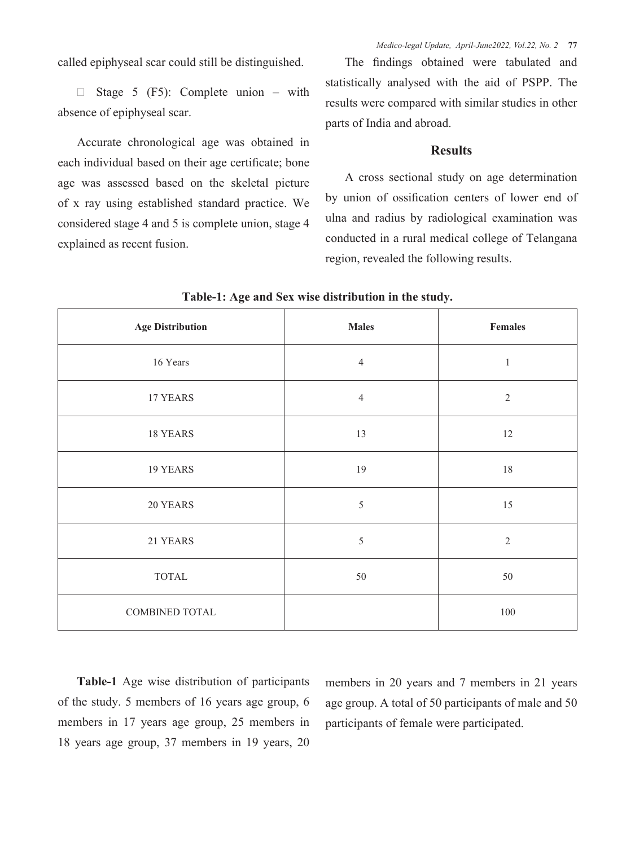*Medico-legal Update, April-June2022, Vol.22, No. 2* **77**

called epiphyseal scar could still be distinguished.

 $\Box$  Stage 5 (F5): Complete union – with absence of epiphyseal scar.

Accurate chronological age was obtained in each individual based on their age certificate; bone age was assessed based on the skeletal picture of x ray using established standard practice. We considered stage 4 and 5 is complete union, stage 4 explained as recent fusion.

The findings obtained were tabulated and statistically analysed with the aid of PSPP. The results were compared with similar studies in other parts of India and abroad.

#### **Results**

A cross sectional study on age determination by union of ossification centers of lower end of ulna and radius by radiological examination was conducted in a rural medical college of Telangana region, revealed the following results.

| <b>Age Distribution</b> | <b>Males</b>   | Females        |
|-------------------------|----------------|----------------|
| 16 Years                | $\overline{4}$ | $\,1$          |
| 17 YEARS                | $\overline{4}$ | $\overline{2}$ |
| 18 YEARS                | 13             | 12             |
| 19 YEARS                | 19             | $18\,$         |
| 20 YEARS                | $\sqrt{5}$     | 15             |
| 21 YEARS                | 5              | $\overline{2}$ |
| TOTAL                   | 50             | 50             |
| <b>COMBINED TOTAL</b>   |                | $100\,$        |

**Table-1: Age and Sex wise distribution in the study.**

**Table-1** Age wise distribution of participants of the study. 5 members of 16 years age group, 6 members in 17 years age group, 25 members in 18 years age group, 37 members in 19 years, 20

members in 20 years and 7 members in 21 years age group. A total of 50 participants of male and 50 participants of female were participated.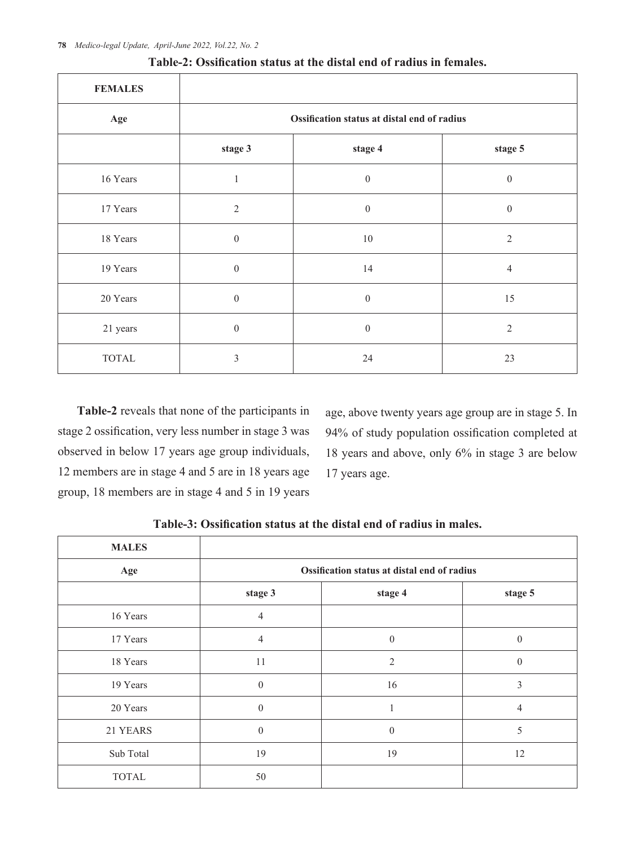| <b>FEMALES</b> |                                             |                  |                  |  |
|----------------|---------------------------------------------|------------------|------------------|--|
| Age            | Ossification status at distal end of radius |                  |                  |  |
|                | stage 3                                     | stage 4          | stage 5          |  |
| 16 Years       | $\mathbf{1}$                                | $\boldsymbol{0}$ | $\boldsymbol{0}$ |  |
| 17 Years       | 2                                           | $\boldsymbol{0}$ | $\boldsymbol{0}$ |  |
| 18 Years       | $\mathbf{0}$                                | $10\,$           | $\overline{2}$   |  |
| 19 Years       | $\mathbf{0}$                                | 14               | $\overline{4}$   |  |
| 20 Years       | $\mathbf{0}$                                | $\boldsymbol{0}$ | 15               |  |
| 21 years       | $\boldsymbol{0}$                            | $\boldsymbol{0}$ | $\overline{2}$   |  |
| <b>TOTAL</b>   | 3                                           | 24               | 23               |  |

| Table-2: Ossification status at the distal end of radius in females. |  |  |  |  |  |  |
|----------------------------------------------------------------------|--|--|--|--|--|--|
|----------------------------------------------------------------------|--|--|--|--|--|--|

**Table-2** reveals that none of the participants in stage 2 ossification, very less number in stage 3 was observed in below 17 years age group individuals, 12 members are in stage 4 and 5 are in 18 years age group, 18 members are in stage 4 and 5 in 19 years

age, above twenty years age group are in stage 5. In 94% of study population ossification completed at 18 years and above, only 6% in stage 3 are below 17 years age.

| <b>MALES</b> |                                             |                  |                  |  |
|--------------|---------------------------------------------|------------------|------------------|--|
| Age          | Ossification status at distal end of radius |                  |                  |  |
|              | stage 3                                     | stage 4          | stage 5          |  |
| 16 Years     | $\overline{4}$                              |                  |                  |  |
| 17 Years     | $\overline{4}$                              | $\boldsymbol{0}$ | $\theta$         |  |
| 18 Years     | 11                                          | 2                | $\boldsymbol{0}$ |  |
| 19 Years     | $\theta$                                    | 16               | $\mathfrak{Z}$   |  |
| 20 Years     | $\theta$                                    |                  | $\overline{4}$   |  |
| 21 YEARS     | $\mathbf{0}$                                | $\boldsymbol{0}$ | 5                |  |
| Sub Total    | 19                                          | 19               | 12               |  |
| <b>TOTAL</b> | 50                                          |                  |                  |  |

**Table-3: Ossification status at the distal end of radius in males.**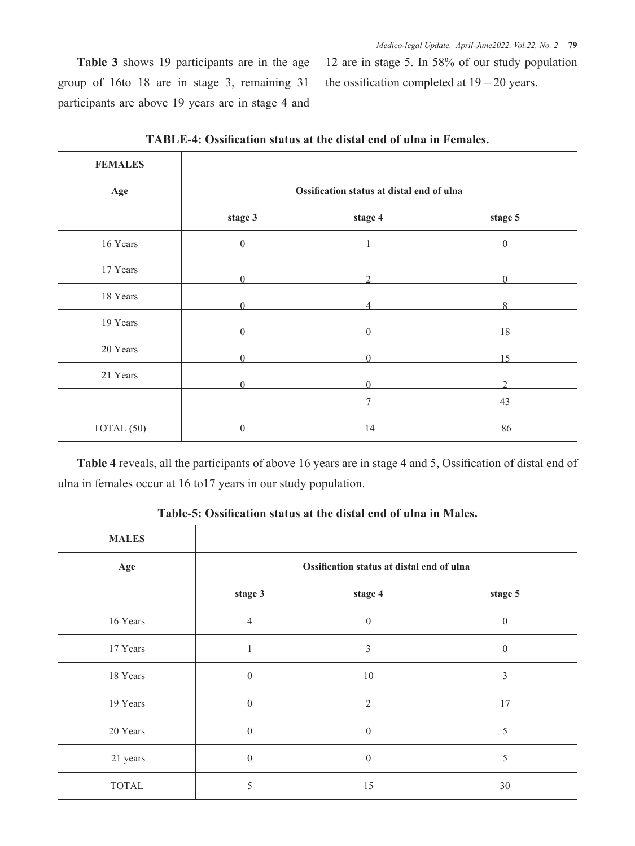**Table 3** shows 19 participants are in the age group of 16to 18 are in stage 3, remaining 31 participants are above 19 years are in stage 4 and

12 are in stage 5. In 58% of our study population the ossification completed at  $19 - 20$  years.

| <b>FEMALES</b> |                                           |          |                         |  |
|----------------|-------------------------------------------|----------|-------------------------|--|
| Age            | Ossification status at distal end of ulna |          |                         |  |
|                | stage 3                                   | stage 4  | stage 5                 |  |
| 16 Years       | $\boldsymbol{0}$                          | 1        | $\boldsymbol{0}$        |  |
| 17 Years       | ∩                                         |          |                         |  |
| 18 Years       | $\Omega$                                  |          | $\mathsf{\overline{R}}$ |  |
| 19 Years       |                                           |          | 18                      |  |
| 20 Years       |                                           |          | 15                      |  |
| 21 Years       | $\Omega$                                  | $\Omega$ | ↑                       |  |
|                |                                           | 7        | 43                      |  |
| TOTAL (50)     | $\boldsymbol{0}$                          | 14       | 86                      |  |

**TABLE-4: Ossification status at the distal end of ulna in Females.**

**Table 4** reveals, all the participants of above 16 years are in stage 4 and 5, Ossification of distal end of ulna in females occur at 16 to17 years in our study population.

| <b>MALES</b> |                                           |                |                  |  |
|--------------|-------------------------------------------|----------------|------------------|--|
| Age          | Ossification status at distal end of ulna |                |                  |  |
|              | stage 3                                   | stage 4        | stage 5          |  |
| 16 Years     | $\overline{4}$                            | $\theta$       | $\boldsymbol{0}$ |  |
| 17 Years     |                                           | $\mathfrak{Z}$ | $\boldsymbol{0}$ |  |
| 18 Years     | $\mathbf{0}$                              | 10             | 3                |  |
| 19 Years     | $\overline{0}$                            | $\overline{2}$ | 17               |  |
| 20 Years     | $\mathbf{0}$                              | $\mathbf{0}$   | 5                |  |
| 21 years     | $\boldsymbol{0}$                          | $\theta$       | 5                |  |
| <b>TOTAL</b> | 5                                         | 15             | 30               |  |

**Table-5: Ossification status at the distal end of ulna in Males.**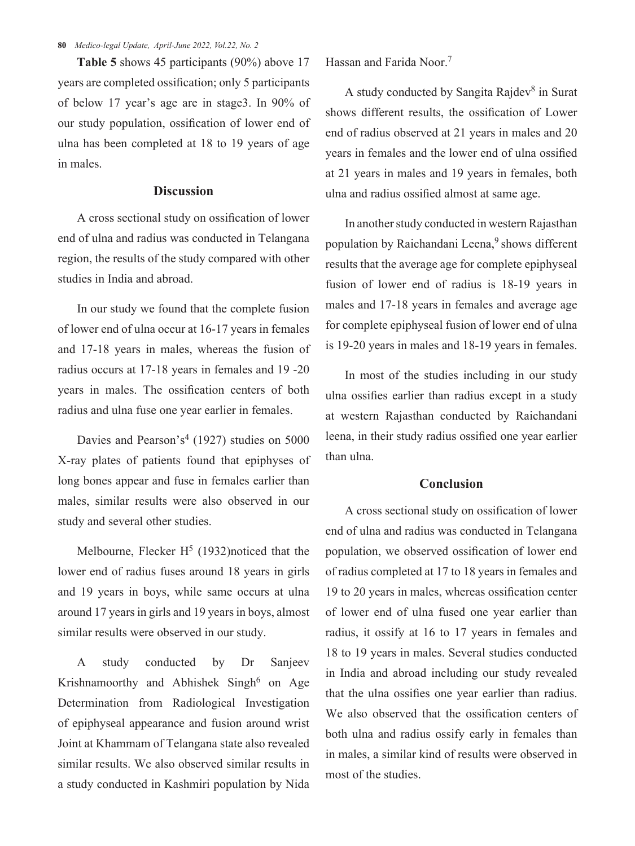**80** *Medico-legal Update, April-June 2022, Vol.22, No. 2*

**Table 5** shows 45 participants (90%) above 17 years are completed ossification; only 5 participants of below 17 year's age are in stage3. In 90% of our study population, ossification of lower end of ulna has been completed at 18 to 19 years of age in males.

## **Discussion**

A cross sectional study on ossification of lower end of ulna and radius was conducted in Telangana region, the results of the study compared with other studies in India and abroad.

In our study we found that the complete fusion of lower end of ulna occur at 16-17 years in females and 17-18 years in males, whereas the fusion of radius occurs at 17-18 years in females and 19 -20 years in males. The ossification centers of both radius and ulna fuse one year earlier in females.

Davies and Pearson's<sup>4</sup> (1927) studies on 5000 X-ray plates of patients found that epiphyses of long bones appear and fuse in females earlier than males, similar results were also observed in our study and several other studies.

Melbourne, Flecker  $H<sup>5</sup>$  (1932)noticed that the lower end of radius fuses around 18 years in girls and 19 years in boys, while same occurs at ulna around 17 years in girls and 19 years in boys, almost similar results were observed in our study.

A study conducted by Dr Sanjeev Krishnamoorthy and Abhishek Singh $^6$  on Age Determination from Radiological Investigation of epiphyseal appearance and fusion around wrist Joint at Khammam of Telangana state also revealed similar results. We also observed similar results in a study conducted in Kashmiri population by Nida Hassan and Farida Noor. 7

A study conducted by Sangita Rajdev<sup>8</sup> in Surat shows different results, the ossification of Lower end of radius observed at 21 years in males and 20 years in females and the lower end of ulna ossified at 21 years in males and 19 years in females, both ulna and radius ossified almost at same age.

In another study conducted in western Rajasthan population by Raichandani Leena,<sup>9</sup> shows different results that the average age for complete epiphyseal fusion of lower end of radius is 18-19 years in males and 17-18 years in females and average age for complete epiphyseal fusion of lower end of ulna is 19-20 years in males and 18-19 years in females.

In most of the studies including in our study ulna ossifies earlier than radius except in a study at western Rajasthan conducted by Raichandani leena, in their study radius ossified one year earlier than ulna.

### **Conclusion**

A cross sectional study on ossification of lower end of ulna and radius was conducted in Telangana population, we observed ossification of lower end of radius completed at 17 to 18 years in females and 19 to 20 years in males, whereas ossification center of lower end of ulna fused one year earlier than radius, it ossify at 16 to 17 years in females and 18 to 19 years in males. Several studies conducted in India and abroad including our study revealed that the ulna ossifies one year earlier than radius. We also observed that the ossification centers of both ulna and radius ossify early in females than in males, a similar kind of results were observed in most of the studies.